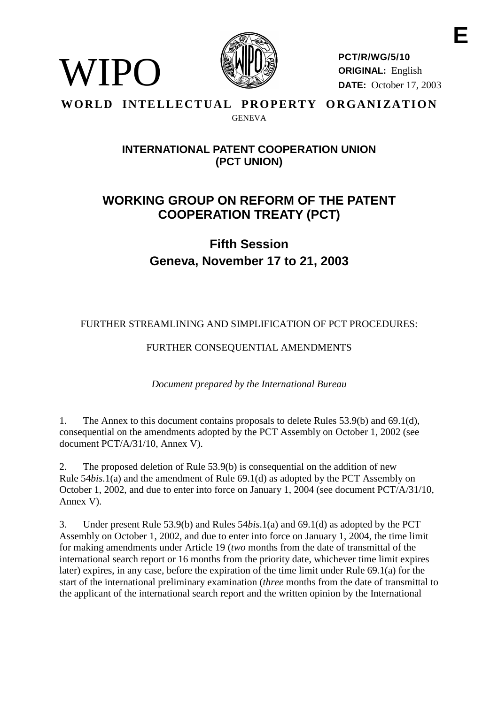

WIPO

**PCT/R/WG/5/10 ORIGINAL:** English **DATE:** October 17, 2003

### WORLD INTELLECTUAL PROPERTY ORGANIZATION GENEVA

# **INTERNATIONAL PATENT COOPERATION UNION (PCT UNION)**

# **WORKING GROUP ON REFORM OF THE PATENT COOPERATION TREATY (PCT)**

**Fifth Session Geneva, November 17 to 21, 2003**

# FURTHER STREAMLINING AND SIMPLIFICATION OF PCT PROCEDURES:

# FURTHER CONSEQUENTIAL AMENDMENTS

*Document prepared by the International Bureau*

1. The Annex to this document contains proposals to delete Rules 53.9(b) and 69.1(d), consequential on the amendments adopted by the PCT Assembly on October 1, 2002 (see document PCT/A/31/10, Annex V).

2. The proposed deletion of Rule 53.9(b) is consequential on the addition of new Rule 54*bis*.1(a) and the amendment of Rule 69.1(d) as adopted by the PCT Assembly on October 1, 2002, and due to enter into force on January 1, 2004 (see document PCT/A/31/10, Annex V).

3. Under present Rule 53.9(b) and Rules 54*bis*.1(a) and 69.1(d) as adopted by the PCT Assembly on October 1, 2002, and due to enter into force on January 1, 2004, the time limit for making amendments under Article 19 (*two* months from the date of transmittal of the international search report or 16 months from the priority date, whichever time limit expires later) expires, in any case, before the expiration of the time limit under Rule 69.1(a) for the start of the international preliminary examination (*three* months from the date of transmittal to the applicant of the international search report and the written opinion by the International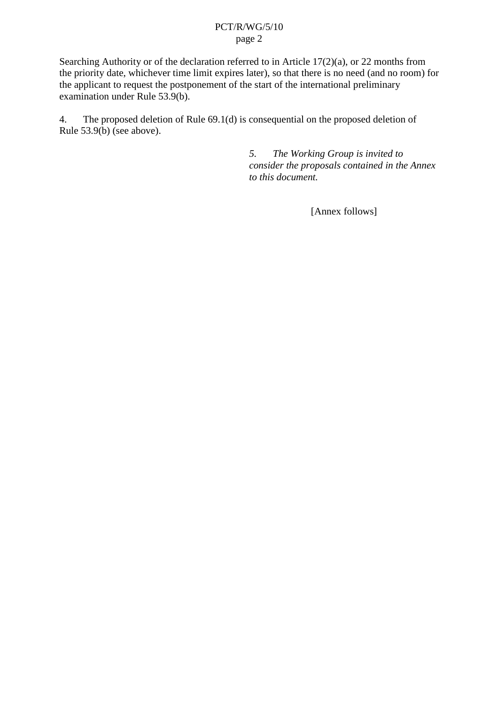### PCT/R/WG/5/10 page 2

Searching Authority or of the declaration referred to in Article 17(2)(a), or 22 months from the priority date, whichever time limit expires later), so that there is no need (and no room) for the applicant to request the postponement of the start of the international preliminary examination under Rule 53.9(b).

4. The proposed deletion of Rule 69.1(d) is consequential on the proposed deletion of Rule 53.9(b) (see above).

> *5. The Working Group is invited to consider the proposals contained in the Annex to this document.*

> > [Annex follows]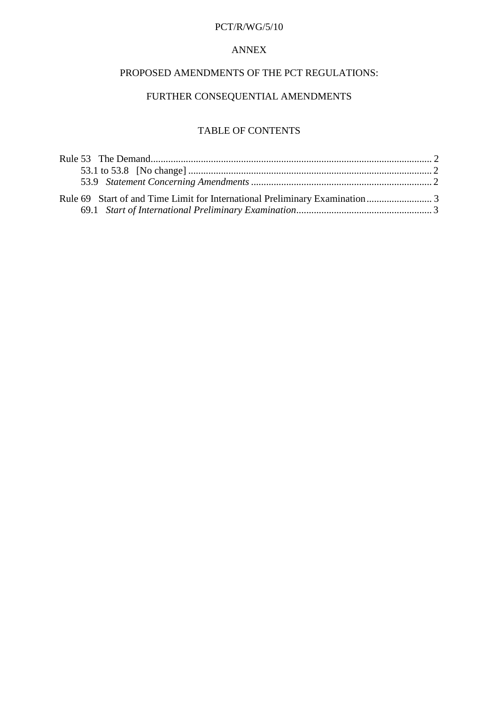### PCT/R/WG/5/10

### ANNEX

### PROPOSED AMENDMENTS OF THE PCT REGULATIONS:

### FURTHER CONSEQUENTIAL AMENDMENTS

### TABLE OF CONTENTS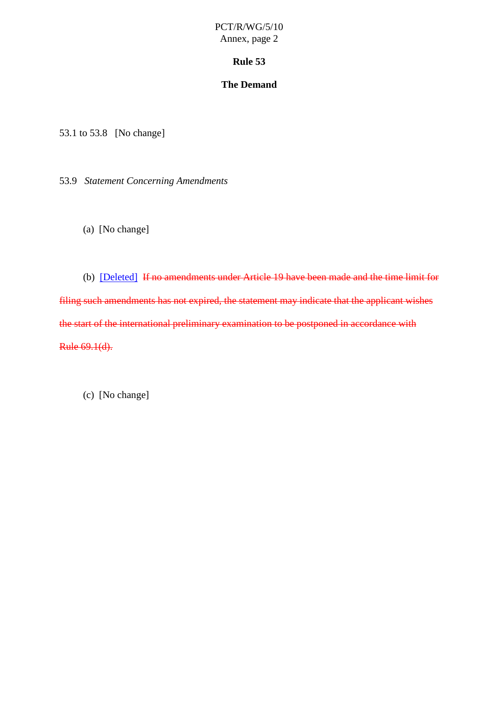### PCT/R/WG/5/10 Annex, page 2

#### **Rule 53**

### **The Demand**

<span id="page-3-0"></span>53.1 to 53.8 [No change]

53.9 *Statement Concerning Amendments*

(a) [No change]

(b) [Deleted] If no amendments under Article 19 have been made and the time limit for filing such amendments has not expired, the statement may indicate that the applicant wishes the start of the international preliminary examination to be postponed in accordance with Rule 69.1(d).

(c) [No change]